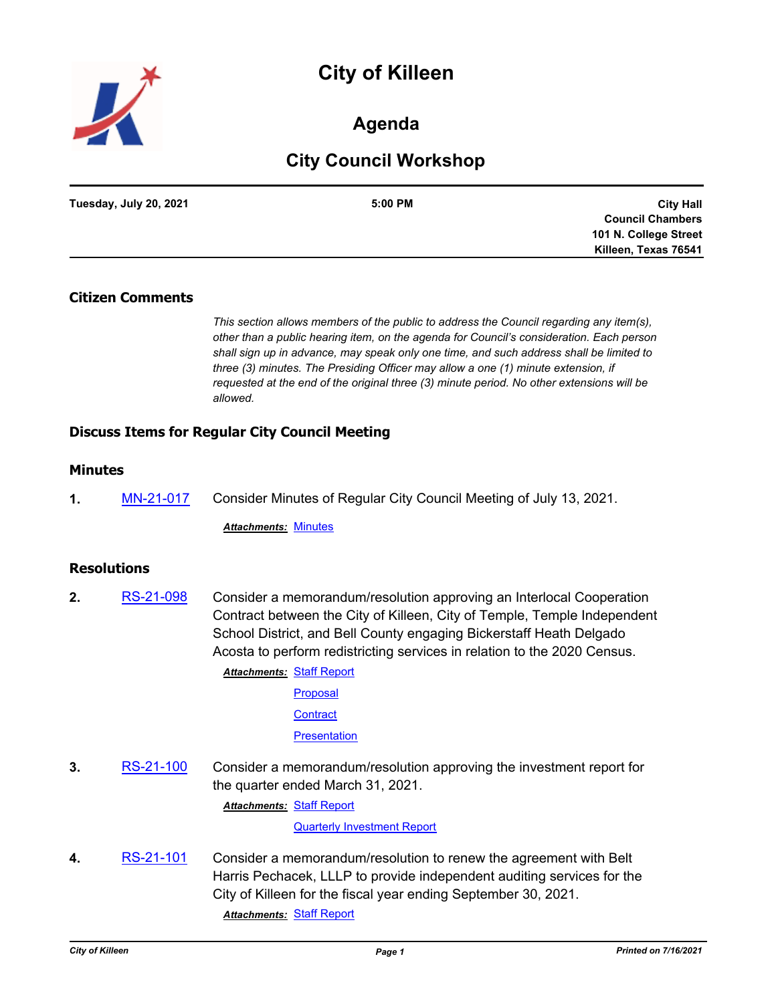# **City of Killeen**



# **Agenda**

# **City Council Workshop**

| Tuesday, July 20, 2021 | 5:00 PM | <b>City Hall</b>        |
|------------------------|---------|-------------------------|
|                        |         | <b>Council Chambers</b> |
|                        |         | 101 N. College Street   |
|                        |         | Killeen, Texas 76541    |

#### **Citizen Comments**

*This section allows members of the public to address the Council regarding any item(s), other than a public hearing item, on the agenda for Council's consideration. Each person shall sign up in advance, may speak only one time, and such address shall be limited to three (3) minutes. The Presiding Officer may allow a one (1) minute extension, if requested at the end of the original three (3) minute period. No other extensions will be allowed.*

## **Discuss Items for Regular City Council Meeting**

# **Minutes**

**1.** [MN-21-017](http://killeen.legistar.com/gateway.aspx?m=l&id=/matter.aspx?key=5581) Consider Minutes of Regular City Council Meeting of July 13, 2021.

*Attachments:* [Minutes](http://killeen.legistar.com/gateway.aspx?M=F&ID=d04851ae-7739-46d4-ae78-d6e7a7652a7f.pdf)

#### **Resolutions**

**2.** [RS-21-098](http://killeen.legistar.com/gateway.aspx?m=l&id=/matter.aspx?key=5558) Consider a memorandum/resolution approving an Interlocal Cooperation Contract between the City of Killeen, City of Temple, Temple Independent School District, and Bell County engaging Bickerstaff Heath Delgado Acosta to perform redistricting services in relation to the 2020 Census.

**Attachments: [Staff Report](http://killeen.legistar.com/gateway.aspx?M=F&ID=0cb9441a-d031-4a75-b000-6c8d41c68a6b.pdf)** 

[Proposal](http://killeen.legistar.com/gateway.aspx?M=F&ID=22759815-bf02-43c1-a1e5-c53694ea763b.pdf)

**[Contract](http://killeen.legistar.com/gateway.aspx?M=F&ID=6796414b-8681-4732-8ad1-0b61c5888394.pdf)** 

**[Presentation](http://killeen.legistar.com/gateway.aspx?M=F&ID=94e927a6-519a-4c7d-920e-9b7e67221424.pdf)** 

**3.** [RS-21-100](http://killeen.legistar.com/gateway.aspx?m=l&id=/matter.aspx?key=5480) Consider a memorandum/resolution approving the investment report for the quarter ended March 31, 2021.

**Attachments: [Staff Report](http://killeen.legistar.com/gateway.aspx?M=F&ID=7d89c87f-16ce-4127-969f-9b6bd78b7fe7.pdf)** 

[Quarterly Investment Report](http://killeen.legistar.com/gateway.aspx?M=F&ID=8ef53488-c061-414e-b4d7-40d830be6c76.pdf)

**4.** [RS-21-101](http://killeen.legistar.com/gateway.aspx?m=l&id=/matter.aspx?key=5563) Consider a memorandum/resolution to renew the agreement with Belt Harris Pechacek, LLLP to provide independent auditing services for the City of Killeen for the fiscal year ending September 30, 2021. *Attachments:* [Staff Report](http://killeen.legistar.com/gateway.aspx?M=F&ID=96f7907e-cab1-4c75-a3af-6d58876c25cf.pdf)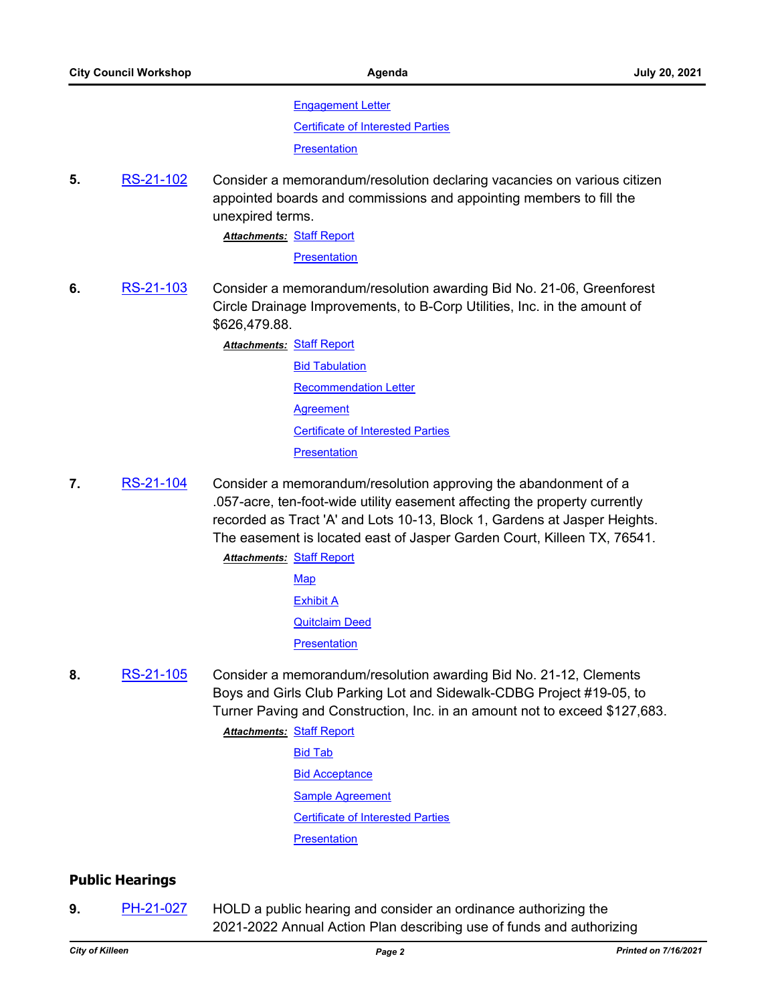[Engagement Letter](http://killeen.legistar.com/gateway.aspx?M=F&ID=3866f96c-1637-40ad-89c0-34d8a20240bf.pdf)

[Certificate of Interested Parties](http://killeen.legistar.com/gateway.aspx?M=F&ID=73343f68-be99-4294-a221-0708e3a52d32.pdf)

**[Presentation](http://killeen.legistar.com/gateway.aspx?M=F&ID=294e1191-0411-43ad-9667-13978e6b8c58.pdf)** 

**5.** [RS-21-102](http://killeen.legistar.com/gateway.aspx?m=l&id=/matter.aspx?key=5594) Consider a memorandum/resolution declaring vacancies on various citizen appointed boards and commissions and appointing members to fill the unexpired terms.

**Attachments: [Staff Report](http://killeen.legistar.com/gateway.aspx?M=F&ID=5f3d8215-f133-4f87-bbeb-19d2df0eb619.pdf)** 

**[Presentation](http://killeen.legistar.com/gateway.aspx?M=F&ID=74cf5300-8c2a-4f16-94ed-bae30cf3315f.pdf)** 

**6.** [RS-21-103](http://killeen.legistar.com/gateway.aspx?m=l&id=/matter.aspx?key=5562) Consider a memorandum/resolution awarding Bid No. 21-06, Greenforest Circle Drainage Improvements, to B-Corp Utilities, Inc. in the amount of \$626,479.88.

> **Attachments: [Staff Report](http://killeen.legistar.com/gateway.aspx?M=F&ID=13c92416-2b9c-47eb-a773-81e9640487c5.pdf)** [Bid Tabulation](http://killeen.legistar.com/gateway.aspx?M=F&ID=c2f7659d-7fec-4ae0-8dad-a0426ab5b8b8.pdf) [Recommendation Letter](http://killeen.legistar.com/gateway.aspx?M=F&ID=33892f50-ea5f-4019-b3c1-23c6c655e6b5.pdf) **[Agreement](http://killeen.legistar.com/gateway.aspx?M=F&ID=c0a3080d-ef6e-45dd-8688-421e74066f81.pdf)** [Certificate of Interested Parties](http://killeen.legistar.com/gateway.aspx?M=F&ID=6a961e5c-5c97-4606-8dda-d32e94ffcd91.pdf) **[Presentation](http://killeen.legistar.com/gateway.aspx?M=F&ID=35869bed-4b33-40d1-a515-f1d5bd808a08.pdf)**

**7.** [RS-21-104](http://killeen.legistar.com/gateway.aspx?m=l&id=/matter.aspx?key=5596) Consider a memorandum/resolution approving the abandonment of a .057-acre, ten-foot-wide utility easement affecting the property currently recorded as Tract 'A' and Lots 10-13, Block 1, Gardens at Jasper Heights. The easement is located east of Jasper Garden Court, Killeen TX, 76541.

**Attachments: [Staff Report](http://killeen.legistar.com/gateway.aspx?M=F&ID=ea03dbdd-fcfe-4e20-b29a-8317761546c9.pdf)** 

[Map](http://killeen.legistar.com/gateway.aspx?M=F&ID=e4c9cc1b-5c93-4471-9879-48ef7830e806.pdf) [Exhibit A](http://killeen.legistar.com/gateway.aspx?M=F&ID=6fecdaca-811a-4321-8c5e-645b25689a6f.pdf) [Quitclaim Deed](http://killeen.legistar.com/gateway.aspx?M=F&ID=fed4c379-ca18-4fa2-941b-d7101d8dd121.pdf) **[Presentation](http://killeen.legistar.com/gateway.aspx?M=F&ID=2e681699-1850-494a-b5e4-74db2dba7641.pdf)** 

- **8.** [RS-21-105](http://killeen.legistar.com/gateway.aspx?m=l&id=/matter.aspx?key=5592) Consider a memorandum/resolution awarding Bid No. 21-12, Clements Boys and Girls Club Parking Lot and Sidewalk-CDBG Project #19-05, to Turner Paving and Construction, Inc. in an amount not to exceed \$127,683.
	- **Attachments: [Staff Report](http://killeen.legistar.com/gateway.aspx?M=F&ID=ce3905ce-0842-41d0-ac0c-2c40eb9d724a.pdf)** [Bid Tab](http://killeen.legistar.com/gateway.aspx?M=F&ID=6443b2cc-7ffd-434f-a256-3e9c01ff1559.pdf) **[Bid Acceptance](http://killeen.legistar.com/gateway.aspx?M=F&ID=7f87aedb-1396-4f60-b3d9-8dc4852e6986.pdf)** [Sample Agreement](http://killeen.legistar.com/gateway.aspx?M=F&ID=d5b78af6-62e4-4952-af26-395030eb9203.pdf)

[Certificate of Interested Parties](http://killeen.legistar.com/gateway.aspx?M=F&ID=148c9d3f-76df-4411-9a50-ef990dfaca09.pdf)

**[Presentation](http://killeen.legistar.com/gateway.aspx?M=F&ID=77d547f7-b8be-4ea0-9097-b51a4833f052.pdf)** 

# **Public Hearings**

**9.** [PH-21-027](http://killeen.legistar.com/gateway.aspx?m=l&id=/matter.aspx?key=5513) HOLD a public hearing and consider an ordinance authorizing the 2021-2022 Annual Action Plan describing use of funds and authorizing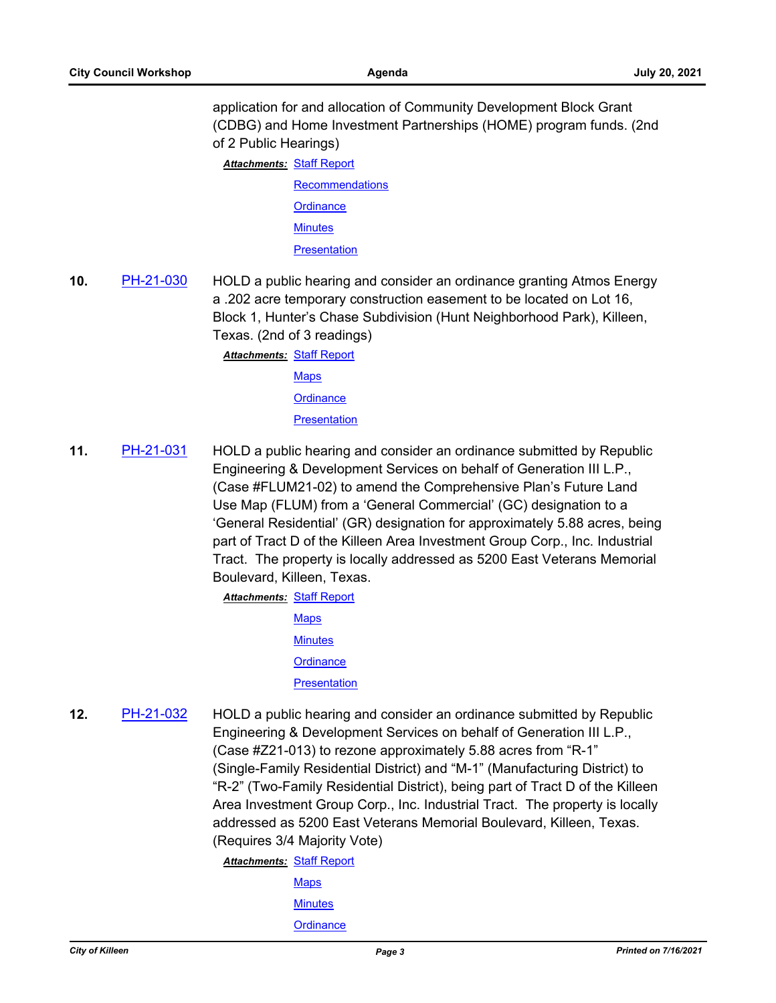application for and allocation of Community Development Block Grant (CDBG) and Home Investment Partnerships (HOME) program funds. (2nd of 2 Public Hearings)

**Attachments: [Staff Report](http://killeen.legistar.com/gateway.aspx?M=F&ID=392c9237-bbb3-41c8-9777-152b73265994.pdf)** 

**[Recommendations](http://killeen.legistar.com/gateway.aspx?M=F&ID=df5b3788-6d34-4b81-91d8-a2b182e30ce1.pdf) [Ordinance](http://killeen.legistar.com/gateway.aspx?M=F&ID=d6b85168-978f-4cb8-b45b-08239ac6efc3.pdf) [Minutes](http://killeen.legistar.com/gateway.aspx?M=F&ID=c5602d3b-f482-4682-85d9-5b39dd886714.pdf)** 

**[Presentation](http://killeen.legistar.com/gateway.aspx?M=F&ID=224530e8-f863-4e84-bb9a-839bace4f4e3.pdf)** 

**10.** [PH-21-030](http://killeen.legistar.com/gateway.aspx?m=l&id=/matter.aspx?key=5564) HOLD a public hearing and consider an ordinance granting Atmos Energy a .202 acre temporary construction easement to be located on Lot 16, Block 1, Hunter's Chase Subdivision (Hunt Neighborhood Park), Killeen, Texas. (2nd of 3 readings)

> **Attachments: [Staff Report](http://killeen.legistar.com/gateway.aspx?M=F&ID=0ed027cb-6f76-4780-8866-522a796f954d.pdf) [Maps](http://killeen.legistar.com/gateway.aspx?M=F&ID=8847f1cd-9ee0-4bea-8079-4b59fd76d916.pdf) [Ordinance](http://killeen.legistar.com/gateway.aspx?M=F&ID=44d13e7b-ff0b-46a4-a622-b465ba434e2d.pdf) [Presentation](http://killeen.legistar.com/gateway.aspx?M=F&ID=e35b7593-e5c7-4462-8243-3ec222fd5a92.pdf)**

**11.** [PH-21-031](http://killeen.legistar.com/gateway.aspx?m=l&id=/matter.aspx?key=5543) HOLD a public hearing and consider an ordinance submitted by Republic Engineering & Development Services on behalf of Generation III L.P., (Case #FLUM21-02) to amend the Comprehensive Plan's Future Land Use Map (FLUM) from a 'General Commercial' (GC) designation to a 'General Residential' (GR) designation for approximately 5.88 acres, being part of Tract D of the Killeen Area Investment Group Corp., Inc. Industrial Tract. The property is locally addressed as 5200 East Veterans Memorial Boulevard, Killeen, Texas.

**Attachments: [Staff Report](http://killeen.legistar.com/gateway.aspx?M=F&ID=3abc3a0a-30d5-4ac1-9608-bd0ce646298a.pdf)** 

**[Maps](http://killeen.legistar.com/gateway.aspx?M=F&ID=dbbc78e8-bd1a-42bd-8883-b2f864cad02d.pdf) [Minutes](http://killeen.legistar.com/gateway.aspx?M=F&ID=6b3e0327-6e94-4cd6-b4fb-947685c62161.pdf) [Ordinance](http://killeen.legistar.com/gateway.aspx?M=F&ID=ca7901d5-eb0f-4f94-9e4b-0753e5a49e39.pdf) [Presentation](http://killeen.legistar.com/gateway.aspx?M=F&ID=13c51602-d82c-4703-b64e-a74b5dbc8142.pdf)** 

**12.** [PH-21-032](http://killeen.legistar.com/gateway.aspx?m=l&id=/matter.aspx?key=5544) HOLD a public hearing and consider an ordinance submitted by Republic Engineering & Development Services on behalf of Generation III L.P., (Case #Z21-013) to rezone approximately 5.88 acres from "R-1" (Single-Family Residential District) and "M-1" (Manufacturing District) to "R-2" (Two-Family Residential District), being part of Tract D of the Killeen Area Investment Group Corp., Inc. Industrial Tract. The property is locally addressed as 5200 East Veterans Memorial Boulevard, Killeen, Texas. (Requires 3/4 Majority Vote)

**Attachments: [Staff Report](http://killeen.legistar.com/gateway.aspx?M=F&ID=ecd746cb-61e2-4bcf-93fa-375d951b0772.pdf)** 

**[Maps](http://killeen.legistar.com/gateway.aspx?M=F&ID=e6fb1395-6a7c-42c2-954e-71f2aea93e61.pdf)**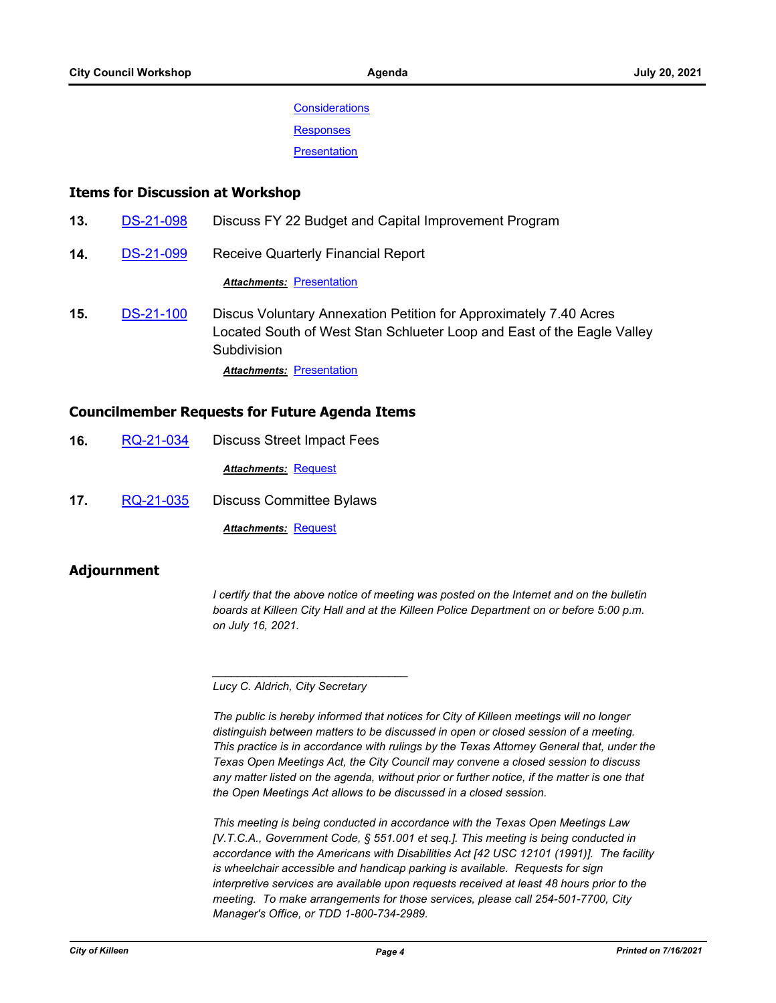**[Considerations](http://killeen.legistar.com/gateway.aspx?M=F&ID=2bc273c8-f967-49f0-89e1-83fbb96377de.pdf)** 

**[Responses](http://killeen.legistar.com/gateway.aspx?M=F&ID=650798d8-af17-43ff-9a16-0ca00fa51723.pdf)** 

**[Presentation](http://killeen.legistar.com/gateway.aspx?M=F&ID=2f5e93ec-234e-42a8-87f7-d8193218e1fa.pdf)** 

## **Items for Discussion at Workshop**

- **13.** [DS-21-098](http://killeen.legistar.com/gateway.aspx?m=l&id=/matter.aspx?key=5577) Discuss FY 22 Budget and Capital Improvement Program
- **14.** [DS-21-099](http://killeen.legistar.com/gateway.aspx?m=l&id=/matter.aspx?key=5498) Receive Quarterly Financial Report

**Attachments: [Presentation](http://killeen.legistar.com/gateway.aspx?M=F&ID=cb3662f4-c236-4abd-8d4b-ef601c0a711b.pdf)** 

**15.** [DS-21-100](http://killeen.legistar.com/gateway.aspx?m=l&id=/matter.aspx?key=5604) Discus Voluntary Annexation Petition for Approximately 7.40 Acres Located South of West Stan Schlueter Loop and East of the Eagle Valley **Subdivision Attachments: [Presentation](http://killeen.legistar.com/gateway.aspx?M=F&ID=d4e841d5-557f-4f50-b6f6-f22ac4619fd7.pdf)** 

#### **Councilmember Requests for Future Agenda Items**

- **16.** [RQ-21-034](http://killeen.legistar.com/gateway.aspx?m=l&id=/matter.aspx?key=5600) Discuss Street Impact Fees *Attachments:* [Request](http://killeen.legistar.com/gateway.aspx?M=F&ID=d7646659-c0ed-4c55-9bdf-d6b730f27e6e.pdf)
- **17.** [RQ-21-035](http://killeen.legistar.com/gateway.aspx?m=l&id=/matter.aspx?key=5601) Discuss Committee Bylaws

*Attachments:* [Request](http://killeen.legistar.com/gateway.aspx?M=F&ID=bc6bd8be-fa0a-45d9-8cda-f7cf823a90ca.pdf)

#### **Adjournment**

*I* certify that the above notice of meeting was posted on the Internet and on the bulletin *boards at Killeen City Hall and at the Killeen Police Department on or before 5:00 p.m. on July 16, 2021.*

*Lucy C. Aldrich, City Secretary* 

*\_\_\_\_\_\_\_\_\_\_\_\_\_\_\_\_\_\_\_\_\_\_\_\_\_\_\_\_\_\_\_*

*The public is hereby informed that notices for City of Killeen meetings will no longer distinguish between matters to be discussed in open or closed session of a meeting. This practice is in accordance with rulings by the Texas Attorney General that, under the Texas Open Meetings Act, the City Council may convene a closed session to discuss any matter listed on the agenda, without prior or further notice, if the matter is one that the Open Meetings Act allows to be discussed in a closed session.*

*This meeting is being conducted in accordance with the Texas Open Meetings Law [V.T.C.A., Government Code, § 551.001 et seq.]. This meeting is being conducted in accordance with the Americans with Disabilities Act [42 USC 12101 (1991)]. The facility is wheelchair accessible and handicap parking is available. Requests for sign interpretive services are available upon requests received at least 48 hours prior to the meeting. To make arrangements for those services, please call 254-501-7700, City Manager's Office, or TDD 1-800-734-2989.*